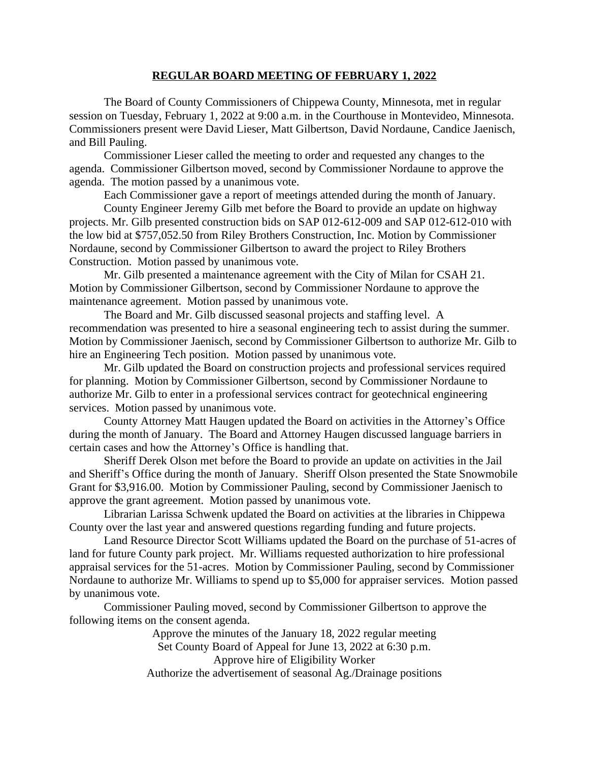## **REGULAR BOARD MEETING OF FEBRUARY 1, 2022**

The Board of County Commissioners of Chippewa County, Minnesota, met in regular session on Tuesday, February 1, 2022 at 9:00 a.m. in the Courthouse in Montevideo, Minnesota. Commissioners present were David Lieser, Matt Gilbertson, David Nordaune, Candice Jaenisch, and Bill Pauling.

Commissioner Lieser called the meeting to order and requested any changes to the agenda. Commissioner Gilbertson moved, second by Commissioner Nordaune to approve the agenda. The motion passed by a unanimous vote.

Each Commissioner gave a report of meetings attended during the month of January.

County Engineer Jeremy Gilb met before the Board to provide an update on highway projects. Mr. Gilb presented construction bids on SAP 012-612-009 and SAP 012-612-010 with the low bid at \$757,052.50 from Riley Brothers Construction, Inc. Motion by Commissioner Nordaune, second by Commissioner Gilbertson to award the project to Riley Brothers Construction. Motion passed by unanimous vote.

Mr. Gilb presented a maintenance agreement with the City of Milan for CSAH 21. Motion by Commissioner Gilbertson, second by Commissioner Nordaune to approve the maintenance agreement. Motion passed by unanimous vote.

The Board and Mr. Gilb discussed seasonal projects and staffing level. A recommendation was presented to hire a seasonal engineering tech to assist during the summer. Motion by Commissioner Jaenisch, second by Commissioner Gilbertson to authorize Mr. Gilb to hire an Engineering Tech position. Motion passed by unanimous vote.

Mr. Gilb updated the Board on construction projects and professional services required for planning. Motion by Commissioner Gilbertson, second by Commissioner Nordaune to authorize Mr. Gilb to enter in a professional services contract for geotechnical engineering services. Motion passed by unanimous vote.

County Attorney Matt Haugen updated the Board on activities in the Attorney's Office during the month of January. The Board and Attorney Haugen discussed language barriers in certain cases and how the Attorney's Office is handling that.

Sheriff Derek Olson met before the Board to provide an update on activities in the Jail and Sheriff's Office during the month of January. Sheriff Olson presented the State Snowmobile Grant for \$3,916.00. Motion by Commissioner Pauling, second by Commissioner Jaenisch to approve the grant agreement. Motion passed by unanimous vote.

Librarian Larissa Schwenk updated the Board on activities at the libraries in Chippewa County over the last year and answered questions regarding funding and future projects.

Land Resource Director Scott Williams updated the Board on the purchase of 51-acres of land for future County park project. Mr. Williams requested authorization to hire professional appraisal services for the 51-acres. Motion by Commissioner Pauling, second by Commissioner Nordaune to authorize Mr. Williams to spend up to \$5,000 for appraiser services. Motion passed by unanimous vote.

Commissioner Pauling moved, second by Commissioner Gilbertson to approve the following items on the consent agenda.

> Approve the minutes of the January 18, 2022 regular meeting Set County Board of Appeal for June 13, 2022 at 6:30 p.m. Approve hire of Eligibility Worker Authorize the advertisement of seasonal Ag./Drainage positions